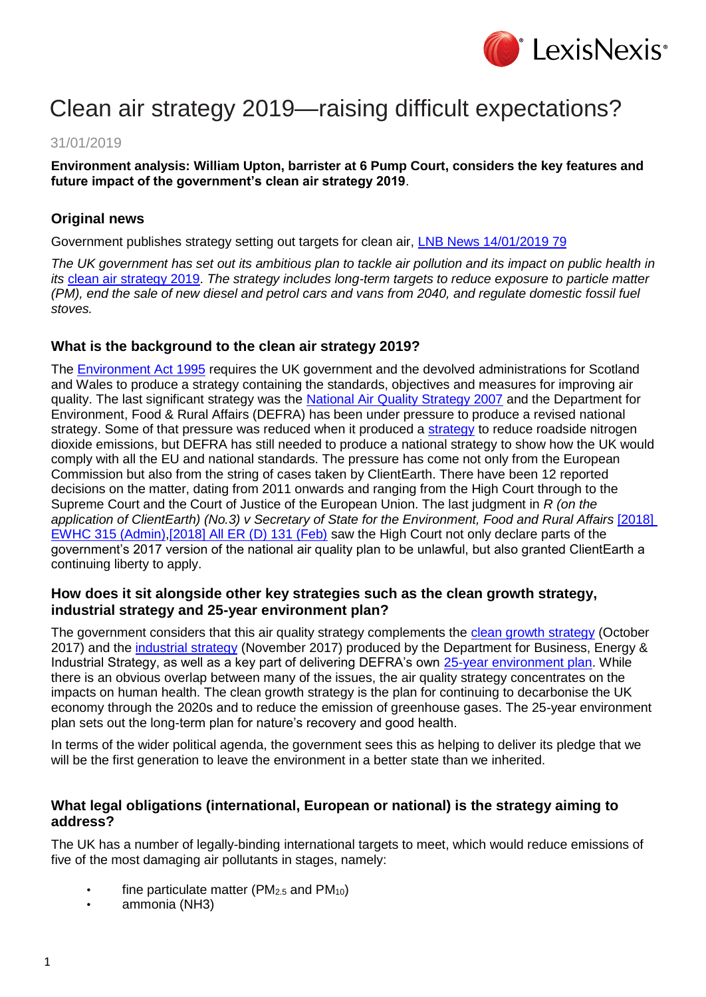

# Clean air strategy 2019—raising difficult expectations?

## 31/01/2019

**Environment analysis: William Upton, barrister at 6 Pump Court, considers the key features and future impact of the government's clean air strategy 2019**.

# **Original news**

Government publishes strategy setting out targets for clean air, [LNB News 14/01/2019 79](https://www.lexisnexis.com/uk/lexispsl/corporatecrime/linkHandler.faces?ps=null&bct=A&homeCsi=412012&A=0.5942956437388721&urlEnc=ISO-8859-1&&remotekey1=DIGEST-CITATION(LNB%20News%2014/01/2019%2079)&remotekey2=All%20Subscribed%20Current%20Awareness%20Sources&dpsi=0S4D&cmd=f:exp&service=QUERY&origdpsi=0S4D)

*The UK government has set out its ambitious plan to tackle air pollution and its impact on public health in its* [clean air strategy 2019.](http://assets.publishing.service.gov.uk/government/uploads/system/uploads/attachment_data/file/770715/clean-air-strategy-2019.pdf) *The strategy includes long-term targets to reduce exposure to particle matter (PM), end the sale of new diesel and petrol cars and vans from 2040, and regulate domestic fossil fuel stoves.*

### **What is the background to the clean air strategy 2019?**

The [Environment Act 1995](https://www.lexisnexis.com/uk/lexispsl/corporatecrime/citationlinkHandler.faces?bct=A&service=citation&risb=&UK_ACTS&$num!%251995_25a_Title%25) requires the UK government and the devolved administrations for Scotland and Wales to produce a strategy containing the standards, objectives and measures for improving air quality. The last significant strategy was the [National Air Quality Strategy 2007](http://www.gov.uk/government/publications/the-air-quality-strategy-for-england-scotland-wales-and-northern-ireland-volume-1) and the Department for Environment, Food & Rural Affairs (DEFRA) has been under pressure to produce a revised national strategy. Some of that pressure was reduced when it produced a [strategy](http://www.gov.uk/government/publications/air-quality-plan-for-nitrogen-dioxide-no2-in-uk-2017) to reduce roadside nitrogen dioxide emissions, but DEFRA has still needed to produce a national strategy to show how the UK would comply with all the EU and national standards. The pressure has come not only from the European Commission but also from the string of cases taken by ClientEarth. There have been 12 reported decisions on the matter, dating from 2011 onwards and ranging from the High Court through to the Supreme Court and the Court of Justice of the European Union. The last judgment in *R (on the*  application of ClientEarth) (No.3) v Secretary of State for the Environment, Food and Rural Affairs [2018] [EWHC 315 \(Admin\)](https://www.lexisnexis.com/uk/lexispsl/corporatecrime/citationlinkHandler.faces?bct=A&service=citation&risb=&EWHCADMIN&$sel1!%252018%25$year!%252018%25$page!%25315%25)[,\[2018\] All ER \(D\) 131 \(Feb\)](https://www.lexisnexis.com/uk/lexispsl/corporatecrime/citationlinkHandler.faces?bct=A&service=citation&risb=&ALLERD&$sel1!%252018%25$year!%252018%25$sel2!%2502%25$vol!%2502%25$page!%25131%25) saw the High Court not only declare parts of the government's 2017 version of the national air quality plan to be unlawful, but also granted ClientEarth a continuing liberty to apply.

#### **How does it sit alongside other key strategies such as the clean growth strategy, industrial strategy and 25-year environment plan?**

The government considers that this air quality strategy complements the [clean growth strategy](http://www.gov.uk/government/publications/clean-growth-strategy) (October 2017) and the [industrial strategy](http://www.gov.uk/government/publications/industrial-strategy-building-a-britain-fit-for-the-future) (November 2017) produced by the Department for Business, Energy & Industrial Strategy, as well as a key part of delivering DEFRA's own [25-year environment plan.](http://www.gov.uk/government/publications/25-year-environment-plan) While there is an obvious overlap between many of the issues, the air quality strategy concentrates on the impacts on human health. The clean growth strategy is the plan for continuing to decarbonise the UK economy through the 2020s and to reduce the emission of greenhouse gases. The 25-year environment plan sets out the long-term plan for nature's recovery and good health.

In terms of the wider political agenda, the government sees this as helping to deliver its pledge that we will be the first generation to leave the environment in a better state than we inherited.

#### **What legal obligations (international, European or national) is the strategy aiming to address?**

The UK has a number of legally-binding international targets to meet, which would reduce emissions of five of the most damaging air pollutants in stages, namely:

- fine particulate matter ( $PM<sub>2.5</sub>$  and  $PM<sub>10</sub>$ )
- ammonia (NH3)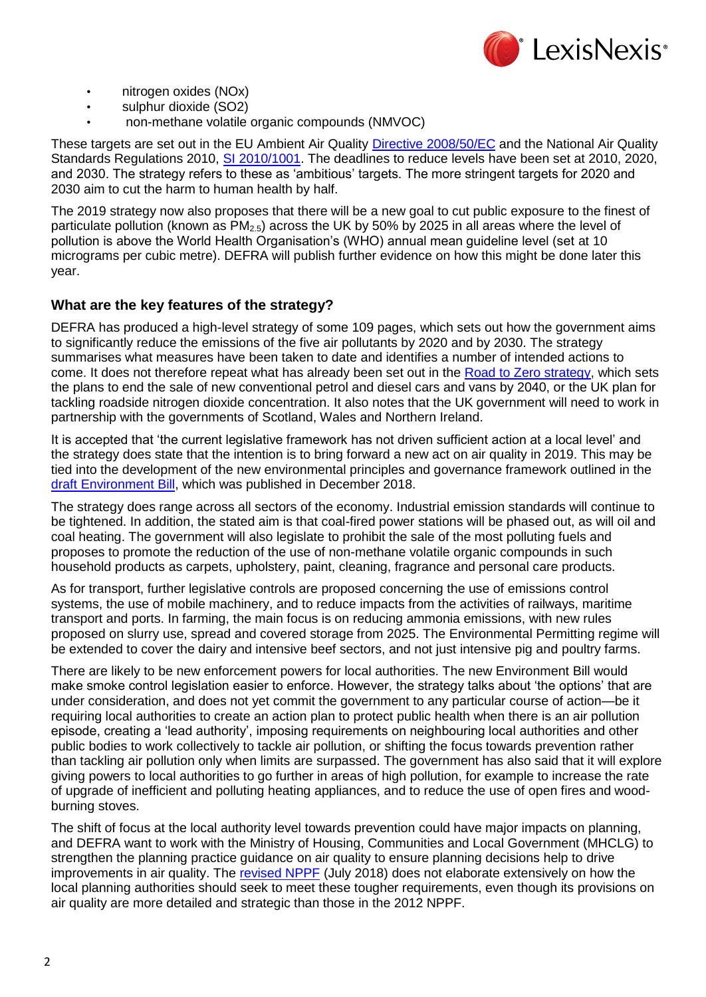

- nitrogen oxides (NOx)
- sulphur dioxide (SO2)
- non-methane volatile organic compounds (NMVOC)

These targets are set out in the EU Ambient Air Quality [Directive 2008/50/EC](https://www.lexisnexis.com/uk/lexispsl/corporatecrime/citationlinkHandler.faces?bct=A&service=citation&risb=&EU_DIR&$num!%2532008L0050%25) and the National Air Quality Standards Regulations 2010, [SI 2010/1001.](https://www.lexisnexis.com/uk/lexispsl/corporatecrime/citationlinkHandler.faces?bct=A&service=citation&risb=&UK_SI&$num!%252010_1001s_Title%25) The deadlines to reduce levels have been set at 2010. 2020. and 2030. The strategy refers to these as 'ambitious' targets. The more stringent targets for 2020 and 2030 aim to cut the harm to human health by half.

The 2019 strategy now also proposes that there will be a new goal to cut public exposure to the finest of particulate pollution (known as  $PM_{2.5}$ ) across the UK by 50% by 2025 in all areas where the level of pollution is above the World Health Organisation's (WHO) annual mean guideline level (set at 10 micrograms per cubic metre). DEFRA will publish further evidence on how this might be done later this year.

# **What are the key features of the strategy?**

DEFRA has produced a high-level strategy of some 109 pages, which sets out how the government aims to significantly reduce the emissions of the five air pollutants by 2020 and by 2030. The strategy summarises what measures have been taken to date and identifies a number of intended actions to come. It does not therefore repeat what has already been set out in the [Road to Zero strategy,](http://www.gov.uk/government/publications/reducing-emissions-from-road-transport-road-to-zero-strategy) which sets the plans to end the sale of new conventional petrol and diesel cars and vans by 2040, or the UK plan for tackling roadside nitrogen dioxide concentration. It also notes that the UK government will need to work in partnership with the governments of Scotland, Wales and Northern Ireland.

It is accepted that 'the current legislative framework has not driven sufficient action at a local level' and the strategy does state that the intention is to bring forward a new act on air quality in 2019. This may be tied into the development of the new environmental principles and governance framework outlined in the [draft Environment Bill,](http://www.gov.uk/government/publications/draft-environment-principles-and-governance-bill-2018) which was published in December 2018.

The strategy does range across all sectors of the economy. Industrial emission standards will continue to be tightened. In addition, the stated aim is that coal-fired power stations will be phased out, as will oil and coal heating. The government will also legislate to prohibit the sale of the most polluting fuels and proposes to promote the reduction of the use of non-methane volatile organic compounds in such household products as carpets, upholstery, paint, cleaning, fragrance and personal care products.

As for transport, further legislative controls are proposed concerning the use of emissions control systems, the use of mobile machinery, and to reduce impacts from the activities of railways, maritime transport and ports. In farming, the main focus is on reducing ammonia emissions, with new rules proposed on slurry use, spread and covered storage from 2025. The Environmental Permitting regime will be extended to cover the dairy and intensive beef sectors, and not just intensive pig and poultry farms.

There are likely to be new enforcement powers for local authorities. The new Environment Bill would make smoke control legislation easier to enforce. However, the strategy talks about 'the options' that are under consideration, and does not yet commit the government to any particular course of action—be it requiring local authorities to create an action plan to protect public health when there is an air pollution episode, creating a 'lead authority', imposing requirements on neighbouring local authorities and other public bodies to work collectively to tackle air pollution, or shifting the focus towards prevention rather than tackling air pollution only when limits are surpassed. The government has also said that it will explore giving powers to local authorities to go further in areas of high pollution, for example to increase the rate of upgrade of inefficient and polluting heating appliances, and to reduce the use of open fires and woodburning stoves.

The shift of focus at the local authority level towards prevention could have major impacts on planning, and DEFRA want to work with the Ministry of Housing, Communities and Local Government (MHCLG) to strengthen the planning practice guidance on air quality to ensure planning decisions help to drive improvements in air quality. The [revised NPPF](http://www.gov.uk/government/collections/revised-national-planning-policy-framework) (July 2018) does not elaborate extensively on how the local planning authorities should seek to meet these tougher requirements, even though its provisions on air quality are more detailed and strategic than those in the 2012 NPPF.